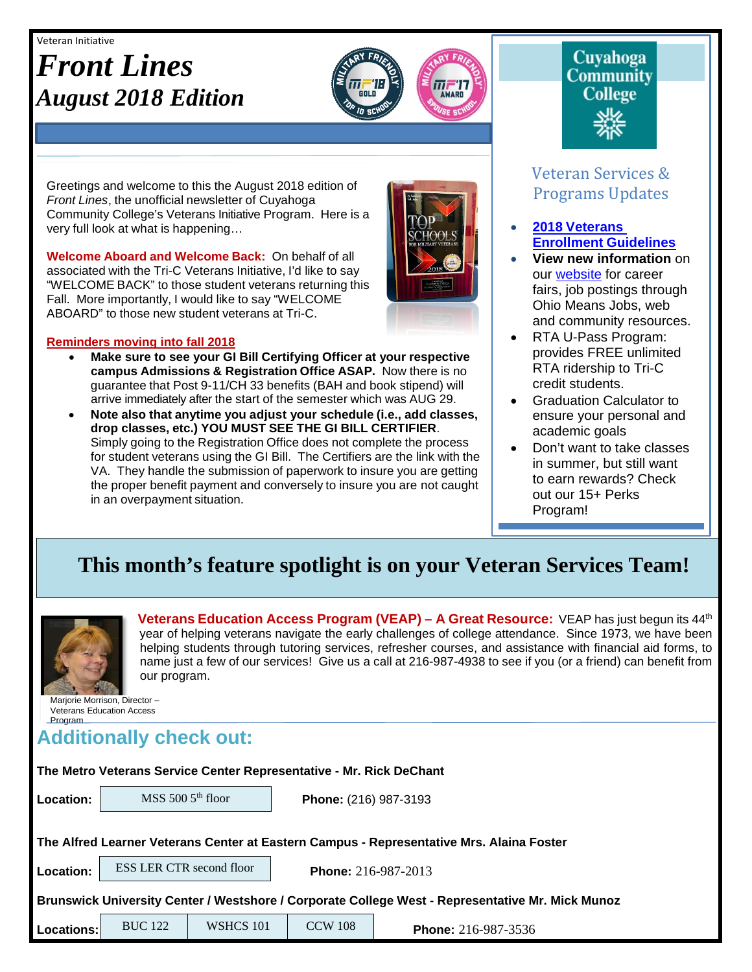#### Veteran Initiative

# *Front Lines August 2018 Edition*



Greetings and welcome to this the August 2018 edition of *Front Lines*, the unofficial newsletter of Cuyahoga Community College's Veterans Initiative Program. Here is a very full look at what is happening…

**Welcome Aboard and Welcome Back:** On behalf of all associated with the Tri-C Veterans Initiative, I'd like to say "WELCOME BACK" to those student veterans returning this Fall. More importantly, I would like to say "WELCOME ABOARD" to those new student veterans at Tri-C.

#### **Reminders moving into fall 2018**

- **Make sure to see your GI Bill Certifying Officer at your respective campus Admissions & Registration Office ASAP.** Now there is no guarantee that Post 9-11/CH 33 benefits (BAH and book stipend) will arrive immediately after the start of the semester which was AUG 29.
- **Note also that anytime you adjust your schedule (i.e., add classes, drop classes, etc.) YOU MUST SEE THE GI BILL CERTIFIER**. Simply going to the Registration Office does not complete the process for student veterans using the GI Bill. The Certifiers are the link with the VA. They handle the submission of paperwork to insure you are getting the proper benefit payment and conversely to insure you are not caught in an overpayment situation.



# **Cuyahoga Community College**

## Veteran Services & Programs Updates

- **2018 [Veterans](http://www.tri-c.edu/veterans/documents/veterans-student-veteran-guide-flyer-2017.pdf) [Enrollment](http://www.tri-c.edu/veterans/documents/veterans-student-veteran-guide-flyer-2017.pdf) Guidelines**
- **View new information** on our [website](http://www.tri-c.edu/veterans/) for career fairs, job postings through Ohio Means Jobs, web and community resources.
- RTA U-Pass Program: provides FREE unlimited RTA ridership to Tri-C credit students.
- Graduation Calculator to ensure your personal and academic goals
- Don't want to take classes in summer, but still want to earn rewards? Check out our 15+ Perks Program!

•

# **This month's feature spotlight is on your Veteran Services Team!**



**Veterans Education Access Program (VEAP) – A Great Resource:** VEAP has just begun its 44th year of helping veterans navigate the early challenges of college attendance. Since 1973, we have been helping students through tutoring services, refresher courses, and assistance with financial aid forms, to name just a few of our services! Give us a call at 216-987-4938 to see if you (or a friend) can benefit from our program.

Marjorie Morrison, Director – Veterans Education Access Program

# **Additionally check out:**

#### **The Metro Veterans Service Center Representative - Mr. Rick DeChant**

MSS 500 5<sup>th</sup> floor

**Location:** MSS 500 5<sup>th</sup> floor **Phone:** (216) 987-3193

**The Alfred Learner Veterans Center at Eastern Campus - Representative Mrs. Alaina Foster**

**Location:** ESS LER CTR second floor **Phone:** 216-987-2013 ESS LER CTR second floor

**Brunswick University Center / Westshore / Corporate College West - Representative Mr. Mick Munoz** 

| Locations: | <b>BUC</b> 122 | WSHCS 101 | TCW108 | Phone: 216-987-3536 |
|------------|----------------|-----------|--------|---------------------|
|            |                |           |        |                     |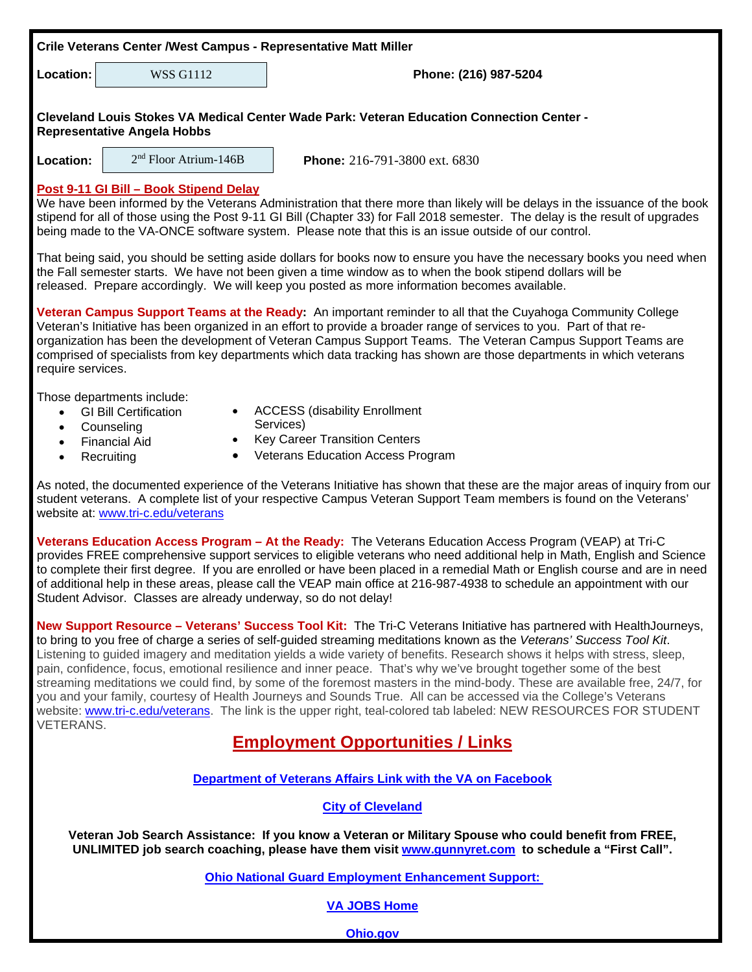| Crile Veterans Center / West Campus - Representative Matt Miller                                                                                                                                                                                                                                                                                                                                                                                                                                                                                                                                                                                                                                                                                                                                                                                                                          |                                                                                                                                          |                                                                                                                                       |  |  |  |
|-------------------------------------------------------------------------------------------------------------------------------------------------------------------------------------------------------------------------------------------------------------------------------------------------------------------------------------------------------------------------------------------------------------------------------------------------------------------------------------------------------------------------------------------------------------------------------------------------------------------------------------------------------------------------------------------------------------------------------------------------------------------------------------------------------------------------------------------------------------------------------------------|------------------------------------------------------------------------------------------------------------------------------------------|---------------------------------------------------------------------------------------------------------------------------------------|--|--|--|
| Location:                                                                                                                                                                                                                                                                                                                                                                                                                                                                                                                                                                                                                                                                                                                                                                                                                                                                                 | <b>WSS G1112</b>                                                                                                                         | Phone: (216) 987-5204                                                                                                                 |  |  |  |
| Cleveland Louis Stokes VA Medical Center Wade Park: Veteran Education Connection Center -<br><b>Representative Angela Hobbs</b>                                                                                                                                                                                                                                                                                                                                                                                                                                                                                                                                                                                                                                                                                                                                                           |                                                                                                                                          |                                                                                                                                       |  |  |  |
| Location:                                                                                                                                                                                                                                                                                                                                                                                                                                                                                                                                                                                                                                                                                                                                                                                                                                                                                 | 2 <sup>nd</sup> Floor Atrium-146B                                                                                                        | Phone: 216-791-3800 ext. 6830                                                                                                         |  |  |  |
| Post 9-11 GI Bill - Book Stipend Delay<br>We have been informed by the Veterans Administration that there more than likely will be delays in the issuance of the book<br>stipend for all of those using the Post 9-11 GI Bill (Chapter 33) for Fall 2018 semester. The delay is the result of upgrades<br>being made to the VA-ONCE software system. Please note that this is an issue outside of our control.                                                                                                                                                                                                                                                                                                                                                                                                                                                                            |                                                                                                                                          |                                                                                                                                       |  |  |  |
| That being said, you should be setting aside dollars for books now to ensure you have the necessary books you need when<br>the Fall semester starts. We have not been given a time window as to when the book stipend dollars will be<br>released. Prepare accordingly. We will keep you posted as more information becomes available.                                                                                                                                                                                                                                                                                                                                                                                                                                                                                                                                                    |                                                                                                                                          |                                                                                                                                       |  |  |  |
| Veteran Campus Support Teams at the Ready: An important reminder to all that the Cuyahoga Community College<br>Veteran's Initiative has been organized in an effort to provide a broader range of services to you. Part of that re-<br>organization has been the development of Veteran Campus Support Teams. The Veteran Campus Support Teams are<br>comprised of specialists from key departments which data tracking has shown are those departments in which veterans<br>require services.                                                                                                                                                                                                                                                                                                                                                                                            |                                                                                                                                          |                                                                                                                                       |  |  |  |
| $\bullet$<br>$\bullet$<br>$\bullet$<br>$\bullet$                                                                                                                                                                                                                                                                                                                                                                                                                                                                                                                                                                                                                                                                                                                                                                                                                                          | Those departments include:<br><b>GI Bill Certification</b><br>Counseling<br><b>Financial Aid</b><br>$\bullet$<br>$\bullet$<br>Recruiting | <b>ACCESS (disability Enrollment</b><br>Services)<br><b>Key Career Transition Centers</b><br><b>Veterans Education Access Program</b> |  |  |  |
| As noted, the documented experience of the Veterans Initiative has shown that these are the major areas of inquiry from our<br>student veterans. A complete list of your respective Campus Veteran Support Team members is found on the Veterans'<br>website at: www.tri-c.edu/veterans                                                                                                                                                                                                                                                                                                                                                                                                                                                                                                                                                                                                   |                                                                                                                                          |                                                                                                                                       |  |  |  |
| Veterans Education Access Program - At the Ready: The Veterans Education Access Program (VEAP) at Tri-C<br>provides FREE comprehensive support services to eligible veterans who need additional help in Math, English and Science<br>to complete their first degree. If you are enrolled or have been placed in a remedial Math or English course and are in need<br>of additional help in these areas, please call the VEAP main office at 216-987-4938 to schedule an appointment with our<br>Student Advisor. Classes are already underway, so do not delay!                                                                                                                                                                                                                                                                                                                          |                                                                                                                                          |                                                                                                                                       |  |  |  |
| New Support Resource - Veterans' Success Tool Kit: The Tri-C Veterans Initiative has partnered with HealthJourneys,<br>to bring to you free of charge a series of self-guided streaming meditations known as the Veterans' Success Tool Kit.<br>Listening to guided imagery and meditation yields a wide variety of benefits. Research shows it helps with stress, sleep,<br>pain, confidence, focus, emotional resilience and inner peace. That's why we've brought together some of the best<br>streaming meditations we could find, by some of the foremost masters in the mind-body. These are available free, 24/7, for<br>you and your family, courtesy of Health Journeys and Sounds True. All can be accessed via the College's Veterans<br>website: www.tri-c.edu/veterans. The link is the upper right, teal-colored tab labeled: NEW RESOURCES FOR STUDENT<br><b>VETERANS.</b> |                                                                                                                                          |                                                                                                                                       |  |  |  |
| <b>Employment Opportunities / Links</b>                                                                                                                                                                                                                                                                                                                                                                                                                                                                                                                                                                                                                                                                                                                                                                                                                                                   |                                                                                                                                          |                                                                                                                                       |  |  |  |
| Department of Veterans Affairs Link with the VA on Facebook                                                                                                                                                                                                                                                                                                                                                                                                                                                                                                                                                                                                                                                                                                                                                                                                                               |                                                                                                                                          |                                                                                                                                       |  |  |  |
| <b>City of Cleveland</b>                                                                                                                                                                                                                                                                                                                                                                                                                                                                                                                                                                                                                                                                                                                                                                                                                                                                  |                                                                                                                                          |                                                                                                                                       |  |  |  |
| Veteran Job Search Assistance: If you know a Veteran or Military Spouse who could benefit from FREE,<br>UNLIMITED job search coaching, please have them visit www.gunnyret.com to schedule a "First Call".                                                                                                                                                                                                                                                                                                                                                                                                                                                                                                                                                                                                                                                                                |                                                                                                                                          |                                                                                                                                       |  |  |  |
| <b>Ohio National Guard Employment Enhancement Support:</b>                                                                                                                                                                                                                                                                                                                                                                                                                                                                                                                                                                                                                                                                                                                                                                                                                                |                                                                                                                                          |                                                                                                                                       |  |  |  |
| <b>VA JOBS Home</b>                                                                                                                                                                                                                                                                                                                                                                                                                                                                                                                                                                                                                                                                                                                                                                                                                                                                       |                                                                                                                                          |                                                                                                                                       |  |  |  |

**[Ohio.gov](http://agency.governmentjobs.com/ohio/default.cfm?clearSearch=1)**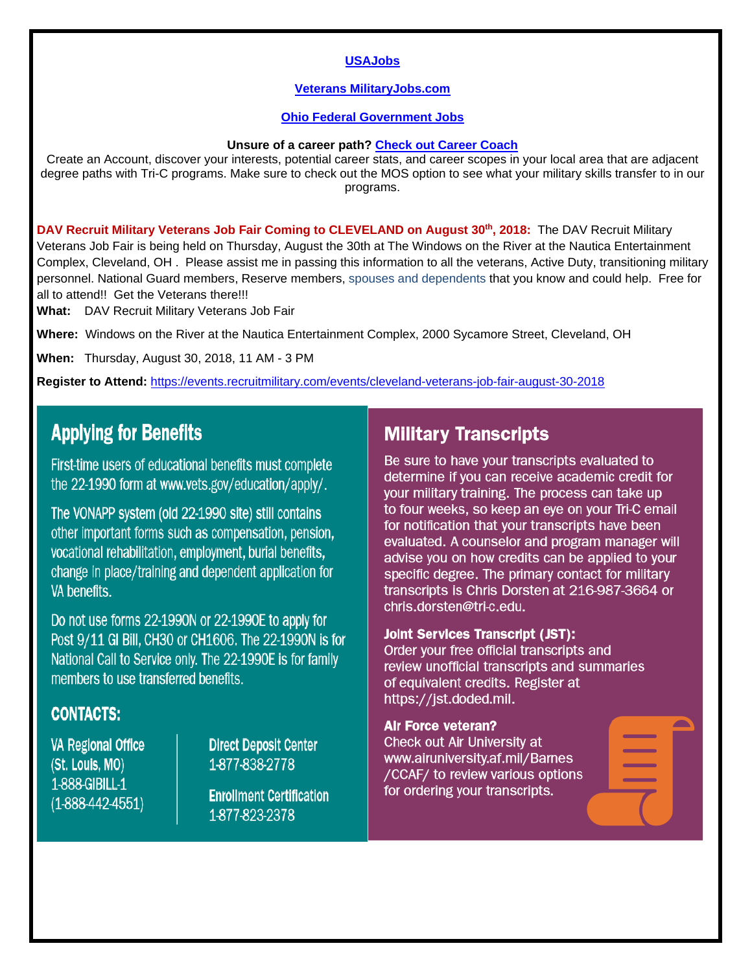#### **[USAJobs](https://www.usajobs.gov/)**

#### **[Veterans MilitaryJobs.com](http://www.military.com/veteran-jobs)**

#### **[Ohio Federal Government Jobs](http://federalgovernmentjobs.us/job-location/ohiooh.htm)**

#### **Unsure of a career path? [Check out Career Coach](https://tri-c.emsicc.com/)**

Create an Account, discover your interests, potential career stats, and career scopes in your local area that are adjacent degree paths with Tri-C programs. Make sure to check out the MOS option to see what your military skills transfer to in our programs.

**DAV Recruit Military Veterans Job Fair Coming to CLEVELAND on August 30th, 2018:** The DAV Recruit Military Veterans Job Fair is being held on Thursday, August the 30th at The Windows on the River at the Nautica Entertainment Complex, Cleveland, OH . Please assist me in passing this information to all the veterans, Active Duty, transitioning military personnel. National Guard members, Reserve members, spouses and dependents that you know and could help. Free for all to attend!! Get the Veterans there!!!

**What:** DAV Recruit Military Veterans Job Fair

**Where:** Windows on the River at the Nautica Entertainment Complex, 2000 Sycamore Street, Cleveland, OH

**When:** Thursday, August 30, 2018, 11 AM - 3 PM

**Register to Attend:** <https://events.recruitmilitary.com/events/cleveland-veterans-job-fair-august-30-2018>

# **Applying for Benefits**

First-time users of educational benefits must complete the 22-1990 form at www.vets.gov/education/apply/.

The VONAPP system (old 22-1990 site) still contains other important forms such as compensation, pension, vocational rehabilitation, employment, burial benefits, change in place/training and dependent application for VA benefits.

Do not use forms 22-1990N or 22-1990E to apply for Post 9/11 GI Bill, CH30 or CH1606. The 22-1990N is for National Call to Service only. The 22-1990E is for family members to use transferred benefits.

### **CONTACTS:**

**VA Regional Office** (St. Louis, MO) 1-888-GIBILL-1  $(1-888-442-4551)$ 

**Direct Deposit Center** 1-877-838-2778

**Enrollment Certification** 1-877-823-2378

### **Military Transcripts**

Be sure to have your transcripts evaluated to determine if you can receive academic credit for your military training. The process can take up to four weeks, so keep an eye on your Tri-C email for notification that your transcripts have been evaluated. A counselor and program manager will advise you on how credits can be applied to your specific degree. The primary contact for military transcripts is Chris Dorsten at 216-987-3664 or chris.dorsten@tri-c.edu.

#### **Joint Services Transcript (JST):**

Order your free official transcripts and review unofficial transcripts and summaries of equivalent credits. Register at https://jst.doded.mil.

#### **Air Force veteran?**

Check out Air University at www.airuniversity.af.mil/Barnes /CCAF/ to review various options for ordering your transcripts.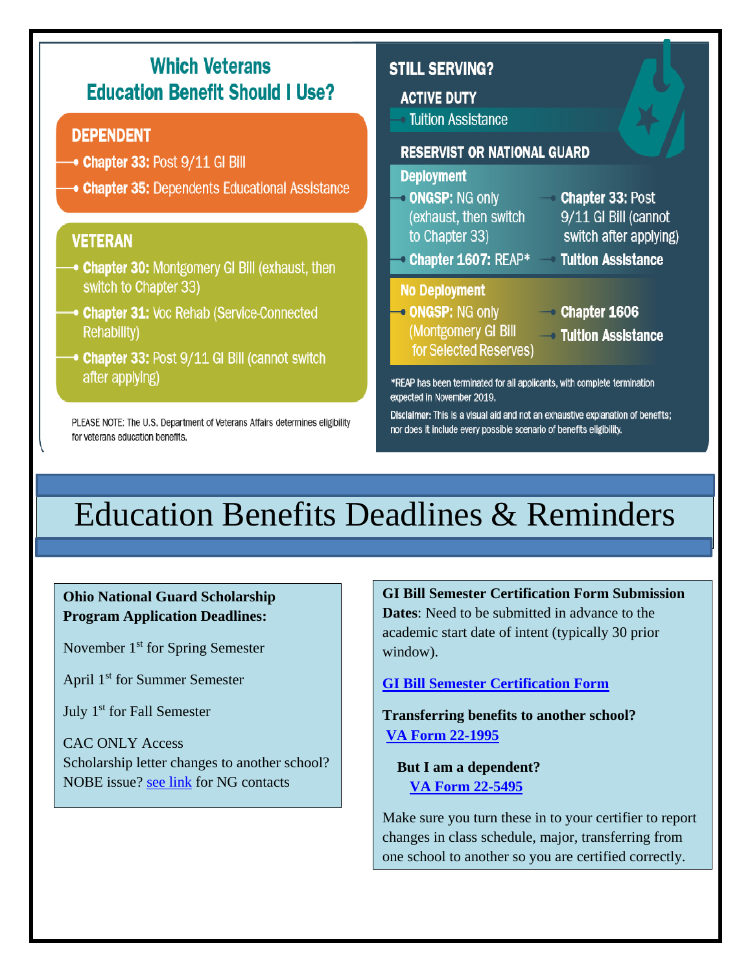

Education Benefits Deadlines & Reminders

**Ohio National Guard Scholarship Program Application Deadlines:**

November 1<sup>st</sup> for Spring Semester

April 1<sup>st</sup> for Summer Semester

July 1st for Fall Semester

CAC ONLY Access Scholarship letter changes to another school? NOBE issue? [see link](http://www.tri-c.edu/veterans/documents/ohio-national-guard-information.pdf) for NG contacts

**GI Bill Semester Certification Form Submission Dates**: Need to be submitted in advance to the academic start date of intent (typically 30 prior window).

**[GI Bill Semester Certification Form](http://www.tri-c.edu/veterans/documents/gi-bill-semester-form-responsiblities-2017.pdf)**

**Transferring benefits to another school? [VA Form 22-1995](http://www.tri-c.edu/veterans/documents/vba-22-1995-are.pdf)**

 **But I am a dependent? [VA Form 22-5495](http://www.tri-c.edu/veterans/documents/vba-22-5495-are.pdf)**

Make sure you turn these in to your certifier to report changes in class schedule, major, transferring from one school to another so you are certified correctly.